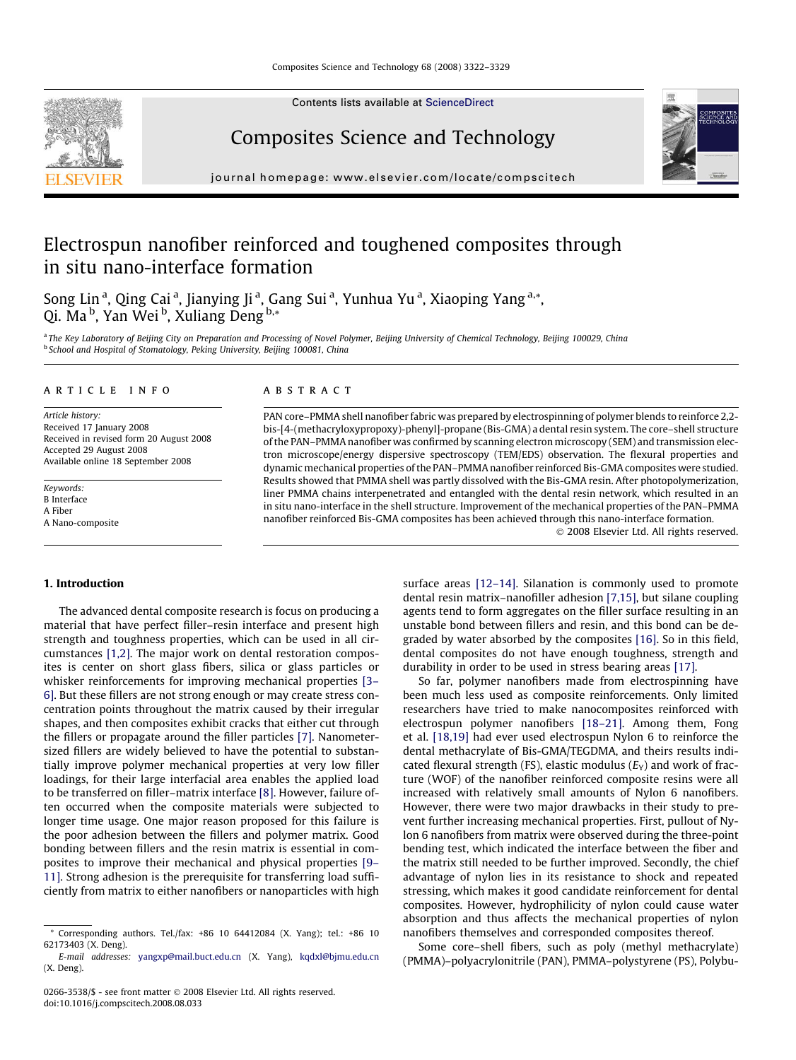Contents lists available at [ScienceDirect](http://www.sciencedirect.com/science/journal/02663538)

# Composites Science and Technology

journal homepage: [www.elsevier.com/locate/compscitech](http://www.elsevier.com/locate/compscitech)

## Electrospun nanofiber reinforced and toughened composites through in situ nano-interface formation

Song Lin<sup>a</sup>, Qing Cai<sup>a</sup>, Jianying Ji<sup>a</sup>, Gang Sui<sup>a</sup>, Yunhua Yu<sup>a</sup>, Xiaoping Yang<sup>a,\*</sup>, Qi. Ma<sup>b</sup>, Yan Wei<sup>b</sup>, Xuliang Deng<sup>b,</sup>\*

<sup>a</sup> The Key Laboratory of Beijing City on Preparation and Processing of Novel Polymer, Beijing University of Chemical Technology, Beijing 100029, China b School and Hospital of Stomatology, Peking University, Beijing 100081, China

#### article info

Article history: Received 17 January 2008 Received in revised form 20 August 2008 Accepted 29 August 2008 Available online 18 September 2008

Keywords: B Interface A Fiber A Nano-composite

#### **ABSTRACT**

PAN core–PMMA shell nanofiber fabric was prepared by electrospinning of polymer blends to reinforce 2,2 bis-[4-(methacryloxypropoxy)-phenyl]-propane (Bis-GMA) a dental resin system. The core–shell structure of the PAN–PMMA nanofiber was confirmed by scanning electron microscopy (SEM) and transmission electron microscope/energy dispersive spectroscopy (TEM/EDS) observation. The flexural properties and dynamic mechanical properties of the PAN–PMMA nanofiber reinforced Bis-GMA composites were studied. Results showed that PMMA shell was partly dissolved with the Bis-GMA resin. After photopolymerization, liner PMMA chains interpenetrated and entangled with the dental resin network, which resulted in an in situ nano-interface in the shell structure. Improvement of the mechanical properties of the PAN–PMMA nanofiber reinforced Bis-GMA composites has been achieved through this nano-interface formation.

- 2008 Elsevier Ltd. All rights reserved.

### 1. Introduction

The advanced dental composite research is focus on producing a material that have perfect filler–resin interface and present high strength and toughness properties, which can be used in all circumstances [\[1,2\]](#page-6-0). The major work on dental restoration composites is center on short glass fibers, silica or glass particles or whisker reinforcements for improving mechanical properties [\[3–](#page-6-0) [6\]](#page-6-0). But these fillers are not strong enough or may create stress concentration points throughout the matrix caused by their irregular shapes, and then composites exhibit cracks that either cut through the fillers or propagate around the filler particles [\[7\]](#page-6-0). Nanometersized fillers are widely believed to have the potential to substantially improve polymer mechanical properties at very low filler loadings, for their large interfacial area enables the applied load to be transferred on filler–matrix interface [\[8\].](#page-6-0) However, failure often occurred when the composite materials were subjected to longer time usage. One major reason proposed for this failure is the poor adhesion between the fillers and polymer matrix. Good bonding between fillers and the resin matrix is essential in composites to improve their mechanical and physical properties [\[9–](#page-6-0) [11\]](#page-6-0). Strong adhesion is the prerequisite for transferring load sufficiently from matrix to either nanofibers or nanoparticles with high surface areas [\[12–14\]](#page-6-0). Silanation is commonly used to promote dental resin matrix–nanofiller adhesion [\[7,15\]](#page-6-0), but silane coupling agents tend to form aggregates on the filler surface resulting in an unstable bond between fillers and resin, and this bond can be degraded by water absorbed by the composites [\[16\]](#page-6-0). So in this field, dental composites do not have enough toughness, strength and durability in order to be used in stress bearing areas [\[17\]](#page-7-0).

So far, polymer nanofibers made from electrospinning have been much less used as composite reinforcements. Only limited researchers have tried to make nanocomposites reinforced with electrospun polymer nanofibers [\[18–21\].](#page-7-0) Among them, Fong et al. [\[18,19\]](#page-7-0) had ever used electrospun Nylon 6 to reinforce the dental methacrylate of Bis-GMA/TEGDMA, and theirs results indicated flexural strength (FS), elastic modulus  $(E_Y)$  and work of fracture (WOF) of the nanofiber reinforced composite resins were all increased with relatively small amounts of Nylon 6 nanofibers. However, there were two major drawbacks in their study to prevent further increasing mechanical properties. First, pullout of Nylon 6 nanofibers from matrix were observed during the three-point bending test, which indicated the interface between the fiber and the matrix still needed to be further improved. Secondly, the chief advantage of nylon lies in its resistance to shock and repeated stressing, which makes it good candidate reinforcement for dental composites. However, hydrophilicity of nylon could cause water absorption and thus affects the mechanical properties of nylon nanofibers themselves and corresponded composites thereof.

Some core–shell fibers, such as poly (methyl methacrylate) (PMMA)–polyacrylonitrile (PAN), PMMA–polystyrene (PS), Polybu-





<sup>\*</sup> Corresponding authors. Tel./fax: +86 10 64412084 (X. Yang); tel.: +86 10 62173403 (X. Deng).

E-mail addresses: [yangxp@mail.buct.edu.cn](mailto:yangxp@mail.buct.edu.cn) (X. Yang), [kqdxl@bjmu.edu.cn](mailto:kqdxl@bjmu.edu.cn) (X. Deng).

<sup>0266-3538/\$ -</sup> see front matter © 2008 Elsevier Ltd. All rights reserved. doi:10.1016/j.compscitech.2008.08.033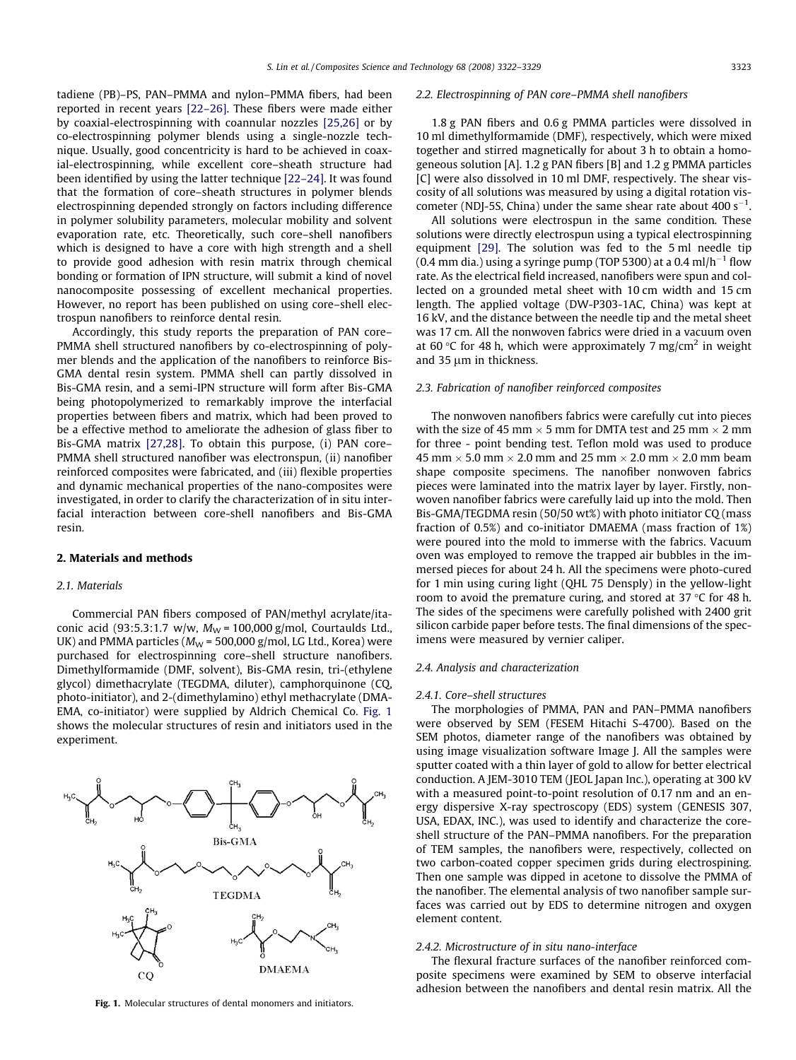tadiene (PB)–PS, PAN–PMMA and nylon–PMMA fibers, had been reported in recent years [\[22–26\].](#page-7-0) These fibers were made either by coaxial-electrospinning with coannular nozzles [\[25,26\]](#page-7-0) or by co-electrospinning polymer blends using a single-nozzle technique. Usually, good concentricity is hard to be achieved in coaxial-electrospinning, while excellent core–sheath structure had been identified by using the latter technique [\[22–24\]](#page-7-0). It was found that the formation of core–sheath structures in polymer blends electrospinning depended strongly on factors including difference in polymer solubility parameters, molecular mobility and solvent evaporation rate, etc. Theoretically, such core–shell nanofibers which is designed to have a core with high strength and a shell to provide good adhesion with resin matrix through chemical bonding or formation of IPN structure, will submit a kind of novel nanocomposite possessing of excellent mechanical properties. However, no report has been published on using core–shell electrospun nanofibers to reinforce dental resin.

Accordingly, this study reports the preparation of PAN core– PMMA shell structured nanofibers by co-electrospinning of polymer blends and the application of the nanofibers to reinforce Bis-GMA dental resin system. PMMA shell can partly dissolved in Bis-GMA resin, and a semi-IPN structure will form after Bis-GMA being photopolymerized to remarkably improve the interfacial properties between fibers and matrix, which had been proved to be a effective method to ameliorate the adhesion of glass fiber to Bis-GMA matrix [\[27,28\]](#page-7-0). To obtain this purpose, (i) PAN core– PMMA shell structured nanofiber was electronspun, (ii) nanofiber reinforced composites were fabricated, and (iii) flexible properties and dynamic mechanical properties of the nano-composites were investigated, in order to clarify the characterization of in situ interfacial interaction between core-shell nanofibers and Bis-GMA resin.

#### 2. Materials and methods

#### 2.1. Materials

Commercial PAN fibers composed of PAN/methyl acrylate/itaconic acid (93:5.3:1.7 w/w,  $M_W$  = 100,000 g/mol, Courtaulds Ltd., UK) and PMMA particles ( $M_W$  = 500,000 g/mol, LG Ltd., Korea) were purchased for electrospinning core–shell structure nanofibers. Dimethylformamide (DMF, solvent), Bis-GMA resin, tri-(ethylene glycol) dimethacrylate (TEGDMA, diluter), camphorquinone (CQ, photo-initiator), and 2-(dimethylamino) ethyl methacrylate (DMA-EMA, co-initiator) were supplied by Aldrich Chemical Co. Fig. 1 shows the molecular structures of resin and initiators used in the experiment.

## 2.2. Electrospinning of PAN core–PMMA shell nanofibers

1.8 g PAN fibers and 0.6 g PMMA particles were dissolved in 10 ml dimethylformamide (DMF), respectively, which were mixed together and stirred magnetically for about 3 h to obtain a homogeneous solution [A]. 1.2 g PAN fibers [B] and 1.2 g PMMA particles [C] were also dissolved in 10 ml DMF, respectively. The shear viscosity of all solutions was measured by using a digital rotation viscometer (NDJ-5S, China) under the same shear rate about  $400 s^{-1}$ .

All solutions were electrospun in the same condition. These solutions were directly electrospun using a typical electrospinning equipment [\[29\].](#page-7-0) The solution was fed to the 5 ml needle tip (0.4 mm dia.) using a syringe pump (TOP 5300) at a 0.4 ml/h $^{-1}$  flow rate. As the electrical field increased, nanofibers were spun and collected on a grounded metal sheet with 10 cm width and 15 cm length. The applied voltage (DW-P303-1AC, China) was kept at 16 kV, and the distance between the needle tip and the metal sheet was 17 cm. All the nonwoven fabrics were dried in a vacuum oven at 60 °C for 48 h, which were approximately 7 mg/cm<sup>2</sup> in weight and  $35 \mu m$  in thickness.

#### 2.3. Fabrication of nanofiber reinforced composites

The nonwoven nanofibers fabrics were carefully cut into pieces with the size of 45 mm  $\times$  5 mm for DMTA test and 25 mm  $\times$  2 mm for three - point bending test. Teflon mold was used to produce 45 mm  $\times$  5.0 mm  $\times$  2.0 mm and 25 mm  $\times$  2.0 mm  $\times$  2.0 mm beam shape composite specimens. The nanofiber nonwoven fabrics pieces were laminated into the matrix layer by layer. Firstly, nonwoven nanofiber fabrics were carefully laid up into the mold. Then Bis-GMA/TEGDMA resin (50/50 wt%) with photo initiator CQ (mass fraction of 0.5%) and co-initiator DMAEMA (mass fraction of 1%) were poured into the mold to immerse with the fabrics. Vacuum oven was employed to remove the trapped air bubbles in the immersed pieces for about 24 h. All the specimens were photo-cured for 1 min using curing light (QHL 75 Densply) in the yellow-light room to avoid the premature curing, and stored at  $37 \text{ °C}$  for 48 h. The sides of the specimens were carefully polished with 2400 grit silicon carbide paper before tests. The final dimensions of the specimens were measured by vernier caliper.

## 2.4. Analysis and characterization

#### 2.4.1. Core–shell structures

The morphologies of PMMA, PAN and PAN–PMMA nanofibers were observed by SEM (FESEM Hitachi S-4700). Based on the SEM photos, diameter range of the nanofibers was obtained by using image visualization software Image J. All the samples were sputter coated with a thin layer of gold to allow for better electrical conduction. A JEM-3010 TEM (JEOL Japan Inc.), operating at 300 kV with a measured point-to-point resolution of 0.17 nm and an energy dispersive X-ray spectroscopy (EDS) system (GENESIS 307, USA, EDAX, INC.), was used to identify and characterize the coreshell structure of the PAN–PMMA nanofibers. For the preparation of TEM samples, the nanofibers were, respectively, collected on two carbon-coated copper specimen grids during electrospining. Then one sample was dipped in acetone to dissolve the PMMA of the nanofiber. The elemental analysis of two nanofiber sample surfaces was carried out by EDS to determine nitrogen and oxygen element content.

#### 2.4.2. Microstructure of in situ nano-interface

The flexural fracture surfaces of the nanofiber reinforced composite specimens were examined by SEM to observe interfacial adhesion between the nanofibers and dental resin matrix. All the

Fig. 1. Molecular structures of dental monomers and initiators.

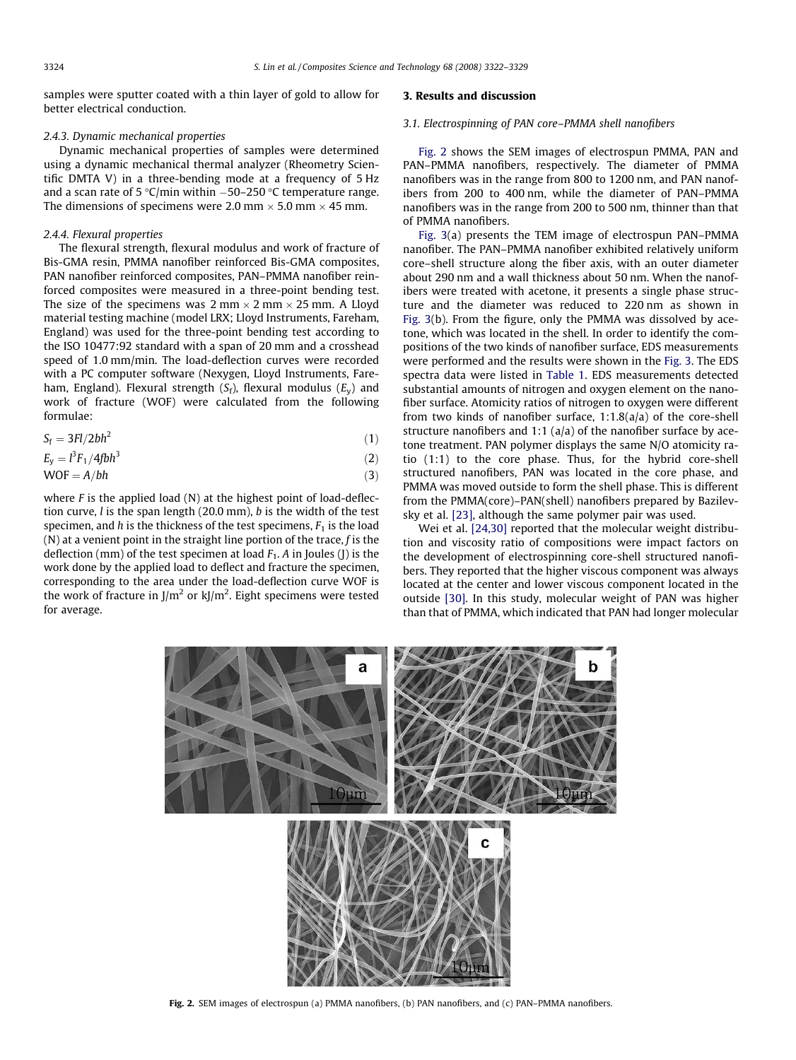samples were sputter coated with a thin layer of gold to allow for better electrical conduction.

#### 2.4.3. Dynamic mechanical properties

Dynamic mechanical properties of samples were determined using a dynamic mechanical thermal analyzer (Rheometry Scientific DMTA V) in a three-bending mode at a frequency of 5 Hz and a scan rate of 5 °C/min within  $-50$ –250 °C temperature range. The dimensions of specimens were 2.0 mm  $\times$  5.0 mm  $\times$  45 mm.

#### 2.4.4. Flexural properties

The flexural strength, flexural modulus and work of fracture of Bis-GMA resin, PMMA nanofiber reinforced Bis-GMA composites, PAN nanofiber reinforced composites, PAN–PMMA nanofiber reinforced composites were measured in a three-point bending test. The size of the specimens was  $2 \text{ mm} \times 2 \text{ mm} \times 25 \text{ mm}$ . A Lloyd material testing machine (model LRX; Lloyd Instruments, Fareham, England) was used for the three-point bending test according to the ISO 10477:92 standard with a span of 20 mm and a crosshead speed of 1.0 mm/min. The load-deflection curves were recorded with a PC computer software (Nexygen, Lloyd Instruments, Fareham, England). Flexural strength  $(S_f)$ , flexural modulus  $(E_v)$  and work of fracture (WOF) were calculated from the following formulae:

$$
S_{\rm f} = 3Fl/2bh^2 \tag{1}
$$

$$
E_y = l^3 F_1 / 4f b h^3 \tag{2}
$$

$$
WOF = A/bh \tag{3}
$$

where  $F$  is the applied load  $(N)$  at the highest point of load-deflection curve,  $l$  is the span length (20.0 mm),  $b$  is the width of the test specimen, and h is the thickness of the test specimens,  $F_1$  is the load (N) at a venient point in the straight line portion of the trace,  $f$  is the deflection (mm) of the test specimen at load  $F_1$ . A in Joules (J) is the work done by the applied load to deflect and fracture the specimen, corresponding to the area under the load-deflection curve WOF is the work of fracture in J/m<sup>2</sup> or kJ/m<sup>2</sup>. Eight specimens were tested for average.

## 3. Results and discussion

## 3.1. Electrospinning of PAN core–PMMA shell nanofibers

Fig. 2 shows the SEM images of electrospun PMMA, PAN and PAN–PMMA nanofibers, respectively. The diameter of PMMA nanofibers was in the range from 800 to 1200 nm, and PAN nanofibers from 200 to 400 nm, while the diameter of PAN–PMMA nanofibers was in the range from 200 to 500 nm, thinner than that of PMMA nanofibers.

[Fig. 3\(](#page-3-0)a) presents the TEM image of electrospun PAN–PMMA nanofiber. The PAN–PMMA nanofiber exhibited relatively uniform core–shell structure along the fiber axis, with an outer diameter about 290 nm and a wall thickness about 50 nm. When the nanofibers were treated with acetone, it presents a single phase structure and the diameter was reduced to 220 nm as shown in [Fig. 3\(](#page-3-0)b). From the figure, only the PMMA was dissolved by acetone, which was located in the shell. In order to identify the compositions of the two kinds of nanofiber surface, EDS measurements were performed and the results were shown in the [Fig. 3](#page-3-0). The EDS spectra data were listed in [Table 1.](#page-3-0) EDS measurements detected substantial amounts of nitrogen and oxygen element on the nanofiber surface. Atomicity ratios of nitrogen to oxygen were different from two kinds of nanofiber surface,  $1:1.8(a/a)$  of the core-shell structure nanofibers and 1:1 (a/a) of the nanofiber surface by acetone treatment. PAN polymer displays the same N/O atomicity ratio (1:1) to the core phase. Thus, for the hybrid core-shell structured nanofibers, PAN was located in the core phase, and PMMA was moved outside to form the shell phase. This is different from the PMMA(core)–PAN(shell) nanofibers prepared by Bazilevsky et al. [\[23\],](#page-7-0) although the same polymer pair was used.

Wei et al. [\[24,30\]](#page-7-0) reported that the molecular weight distribution and viscosity ratio of compositions were impact factors on the development of electrospinning core-shell structured nanofibers. They reported that the higher viscous component was always located at the center and lower viscous component located in the outside [\[30\]](#page-7-0). In this study, molecular weight of PAN was higher than that of PMMA, which indicated that PAN had longer molecular



Fig. 2. SEM images of electrospun (a) PMMA nanofibers, (b) PAN nanofibers, and (c) PAN–PMMA nanofibers.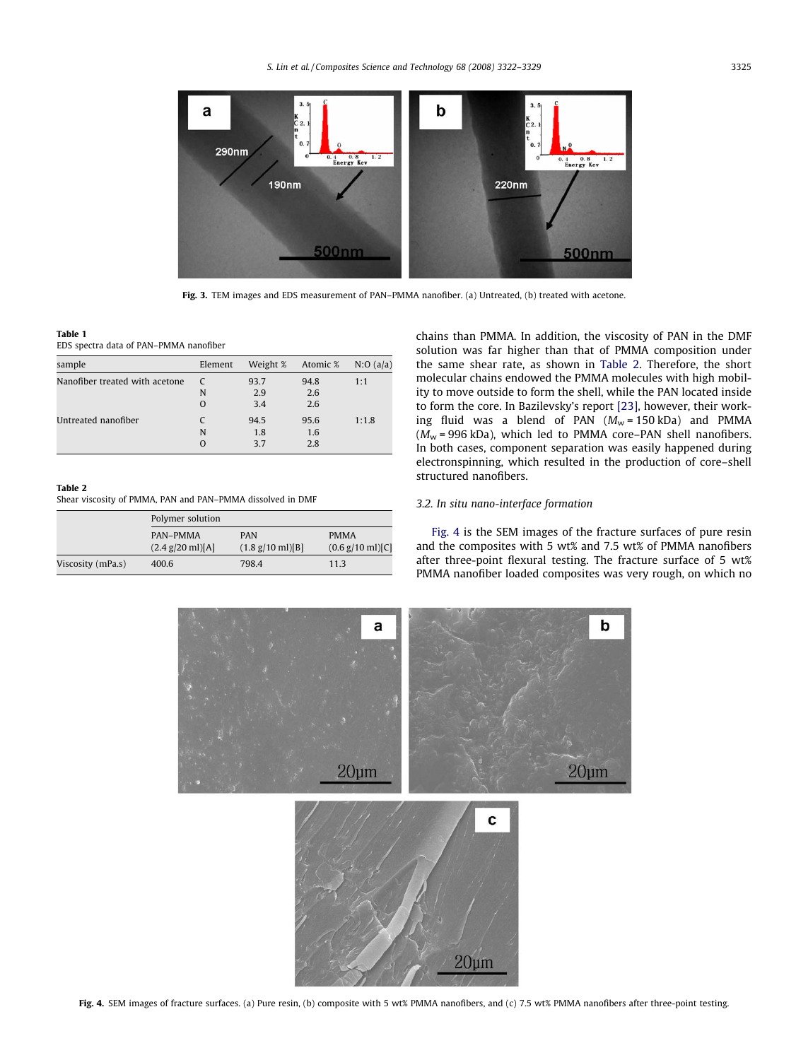<span id="page-3-0"></span>

Fig. 3. TEM images and EDS measurement of PAN-PMMA nanofiber. (a) Untreated, (b) treated with acetone.

#### Table 1

EDS spectra data of PAN–PMMA nanofiber

| sample                         | Element  | Weight % | Atomic % | N:O(a/a) |
|--------------------------------|----------|----------|----------|----------|
| Nanofiber treated with acetone | C        | 93.7     | 94.8     | 1:1      |
|                                | N        | 2.9      | 2.6      |          |
|                                | $\Omega$ | 3.4      | 2.6      |          |
| Untreated nanofiber            |          | 94.5     | 95.6     | 1:1.8    |
|                                | N        | 1.8      | 1.6      |          |
|                                | O        | 37       | 2.8      |          |
|                                |          |          |          |          |

## Table 2

Shear viscosity of PMMA, PAN and PAN–PMMA dissolved in DMF

|                   | Polymer solution                               |                                                  |                                                    |  |  |  |
|-------------------|------------------------------------------------|--------------------------------------------------|----------------------------------------------------|--|--|--|
|                   | PAN-PMMA<br>$(2.4 \text{ g}/20 \text{ ml})[A]$ | <b>PAN</b><br>$(1.8 \text{ g}/10 \text{ ml})[B]$ | <b>PMMA</b><br>$(0.6 \text{ g}/10 \text{ ml})$ [C] |  |  |  |
| Viscosity (mPa.s) | 400.6                                          | 798.4                                            | 11.3                                               |  |  |  |

chains than PMMA. In addition, the viscosity of PAN in the DMF solution was far higher than that of PMMA composition under the same shear rate, as shown in Table 2. Therefore, the short molecular chains endowed the PMMA molecules with high mobility to move outside to form the shell, while the PAN located inside to form the core. In Bazilevsky's report [\[23\]](#page-7-0), however, their working fluid was a blend of PAN  $(M_w = 150 \text{ kDa})$  and PMMA  $(M_w = 996 \text{ kDa})$ , which led to PMMA core–PAN shell nanofibers. In both cases, component separation was easily happened during electronspinning, which resulted in the production of core–shell structured nanofibers.

## 3.2. In situ nano-interface formation

Fig. 4 is the SEM images of the fracture surfaces of pure resin and the composites with 5 wt% and 7.5 wt% of PMMA nanofibers after three-point flexural testing. The fracture surface of 5 wt% PMMA nanofiber loaded composites was very rough, on which no

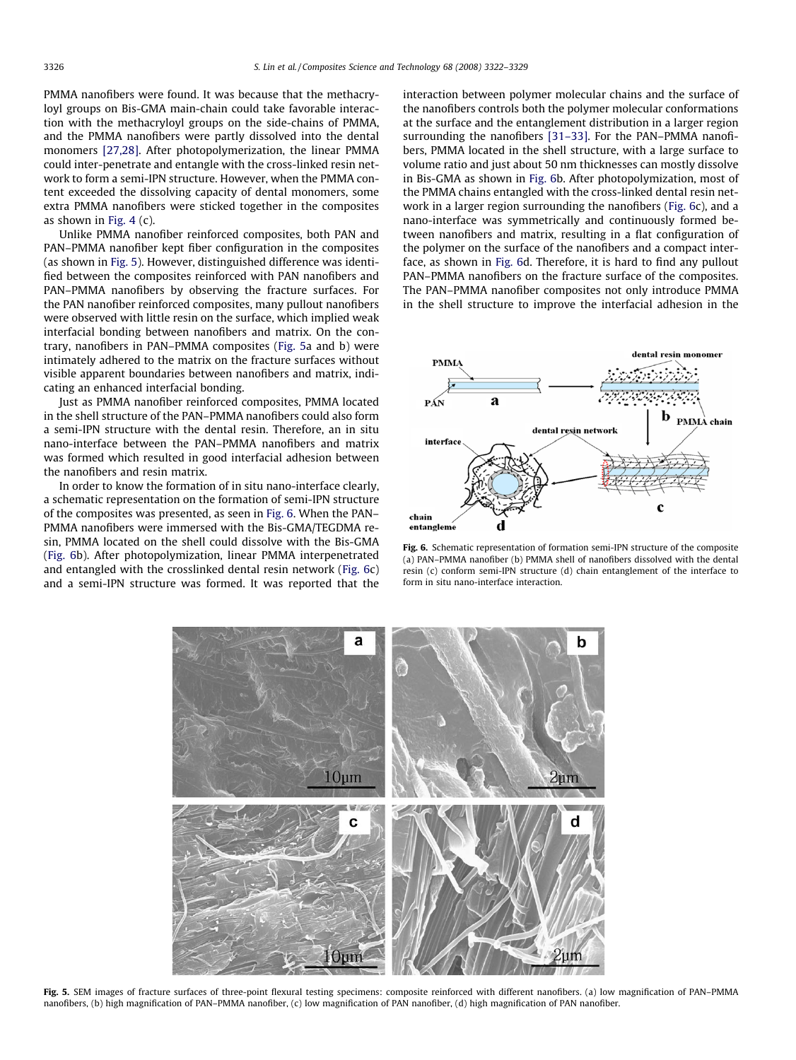PMMA nanofibers were found. It was because that the methacryloyl groups on Bis-GMA main-chain could take favorable interaction with the methacryloyl groups on the side-chains of PMMA, and the PMMA nanofibers were partly dissolved into the dental monomers [\[27,28\].](#page-7-0) After photopolymerization, the linear PMMA could inter-penetrate and entangle with the cross-linked resin network to form a semi-IPN structure. However, when the PMMA content exceeded the dissolving capacity of dental monomers, some extra PMMA nanofibers were sticked together in the composites as shown in [Fig. 4](#page-3-0) (c).

Unlike PMMA nanofiber reinforced composites, both PAN and PAN–PMMA nanofiber kept fiber configuration in the composites (as shown in Fig. 5). However, distinguished difference was identified between the composites reinforced with PAN nanofibers and PAN–PMMA nanofibers by observing the fracture surfaces. For the PAN nanofiber reinforced composites, many pullout nanofibers were observed with little resin on the surface, which implied weak interfacial bonding between nanofibers and matrix. On the contrary, nanofibers in PAN–PMMA composites (Fig. 5a and b) were intimately adhered to the matrix on the fracture surfaces without visible apparent boundaries between nanofibers and matrix, indicating an enhanced interfacial bonding.

Just as PMMA nanofiber reinforced composites, PMMA located in the shell structure of the PAN–PMMA nanofibers could also form a semi-IPN structure with the dental resin. Therefore, an in situ nano-interface between the PAN–PMMA nanofibers and matrix was formed which resulted in good interfacial adhesion between the nanofibers and resin matrix.

In order to know the formation of in situ nano-interface clearly, a schematic representation on the formation of semi-IPN structure of the composites was presented, as seen in Fig. 6. When the PAN– PMMA nanofibers were immersed with the Bis-GMA/TEGDMA resin, PMMA located on the shell could dissolve with the Bis-GMA (Fig. 6b). After photopolymization, linear PMMA interpenetrated and entangled with the crosslinked dental resin network (Fig. 6c) and a semi-IPN structure was formed. It was reported that the interaction between polymer molecular chains and the surface of the nanofibers controls both the polymer molecular conformations at the surface and the entanglement distribution in a larger region surrounding the nanofibers [\[31–33\].](#page-7-0) For the PAN–PMMA nanofibers, PMMA located in the shell structure, with a large surface to volume ratio and just about 50 nm thicknesses can mostly dissolve in Bis-GMA as shown in Fig. 6b. After photopolymization, most of the PMMA chains entangled with the cross-linked dental resin network in a larger region surrounding the nanofibers (Fig. 6c), and a nano-interface was symmetrically and continuously formed between nanofibers and matrix, resulting in a flat configuration of the polymer on the surface of the nanofibers and a compact interface, as shown in Fig. 6d. Therefore, it is hard to find any pullout PAN–PMMA nanofibers on the fracture surface of the composites. The PAN–PMMA nanofiber composites not only introduce PMMA in the shell structure to improve the interfacial adhesion in the



Fig. 6. Schematic representation of formation semi-IPN structure of the composite (a) PAN–PMMA nanofiber (b) PMMA shell of nanofibers dissolved with the dental resin (c) conform semi-IPN structure (d) chain entanglement of the interface to form in situ nano-interface interaction.



Fig. 5. SEM images of fracture surfaces of three-point flexural testing specimens: composite reinforced with different nanofibers. (a) low magnification of PAN-PMMA nanofibers, (b) high magnification of PAN–PMMA nanofiber, (c) low magnification of PAN nanofiber, (d) high magnification of PAN nanofiber.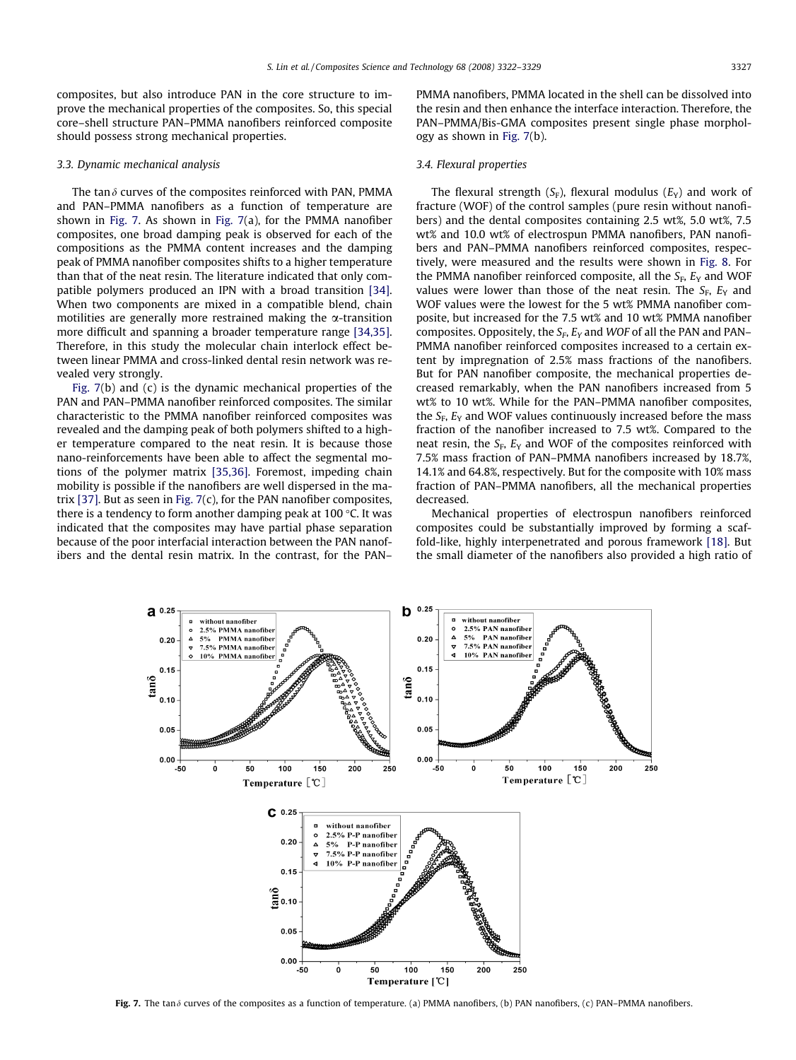composites, but also introduce PAN in the core structure to improve the mechanical properties of the composites. So, this special core–shell structure PAN–PMMA nanofibers reinforced composite should possess strong mechanical properties.

## 3.3. Dynamic mechanical analysis

The tan $\delta$  curves of the composites reinforced with PAN, PMMA and PAN–PMMA nanofibers as a function of temperature are shown in Fig. 7. As shown in Fig. 7(a), for the PMMA nanofiber composites, one broad damping peak is observed for each of the compositions as the PMMA content increases and the damping peak of PMMA nanofiber composites shifts to a higher temperature than that of the neat resin. The literature indicated that only compatible polymers produced an IPN with a broad transition [\[34\].](#page-7-0) When two components are mixed in a compatible blend, chain motilities are generally more restrained making the  $\alpha$ -transition more difficult and spanning a broader temperature range [\[34,35\].](#page-7-0) Therefore, in this study the molecular chain interlock effect between linear PMMA and cross-linked dental resin network was revealed very strongly.

Fig. 7(b) and (c) is the dynamic mechanical properties of the PAN and PAN–PMMA nanofiber reinforced composites. The similar characteristic to the PMMA nanofiber reinforced composites was revealed and the damping peak of both polymers shifted to a higher temperature compared to the neat resin. It is because those nano-reinforcements have been able to affect the segmental motions of the polymer matrix [\[35,36\].](#page-7-0) Foremost, impeding chain mobility is possible if the nanofibers are well dispersed in the matrix [\[37\].](#page-7-0) But as seen in Fig. 7(c), for the PAN nanofiber composites, there is a tendency to form another damping peak at 100  $\degree$ C. It was indicated that the composites may have partial phase separation because of the poor interfacial interaction between the PAN nanofibers and the dental resin matrix. In the contrast, for the PAN– PMMA nanofibers, PMMA located in the shell can be dissolved into the resin and then enhance the interface interaction. Therefore, the PAN–PMMA/Bis-GMA composites present single phase morphology as shown in Fig. 7(b).

#### 3.4. Flexural properties

The flexural strength  $(S_F)$ , flexural modulus  $(E_Y)$  and work of fracture (WOF) of the control samples (pure resin without nanofibers) and the dental composites containing 2.5 wt%, 5.0 wt%, 7.5 wt% and 10.0 wt% of electrospun PMMA nanofibers, PAN nanofibers and PAN–PMMA nanofibers reinforced composites, respectively, were measured and the results were shown in [Fig. 8](#page-6-0). For the PMMA nanofiber reinforced composite, all the  $S_F$ ,  $E_Y$  and WOF values were lower than those of the neat resin. The  $S_F$ ,  $E_Y$  and WOF values were the lowest for the 5 wt% PMMA nanofiber composite, but increased for the 7.5 wt% and 10 wt% PMMA nanofiber composites. Oppositely, the  $S_F$ ,  $E_Y$  and WOF of all the PAN and PAN– PMMA nanofiber reinforced composites increased to a certain extent by impregnation of 2.5% mass fractions of the nanofibers. But for PAN nanofiber composite, the mechanical properties decreased remarkably, when the PAN nanofibers increased from 5 wt% to 10 wt%. While for the PAN–PMMA nanofiber composites, the  $S_F$ ,  $E_Y$  and WOF values continuously increased before the mass fraction of the nanofiber increased to 7.5 wt%. Compared to the neat resin, the  $S_F$ ,  $E_Y$  and WOF of the composites reinforced with 7.5% mass fraction of PAN–PMMA nanofibers increased by 18.7%, 14.1% and 64.8%, respectively. But for the composite with 10% mass fraction of PAN–PMMA nanofibers, all the mechanical properties decreased.

Mechanical properties of electrospun nanofibers reinforced composites could be substantially improved by forming a scaffold-like, highly interpenetrated and porous framework [\[18\]](#page-7-0). But the small diameter of the nanofibers also provided a high ratio of



Fig. 7. The tan  $\delta$  curves of the composites as a function of temperature. (a) PMMA nanofibers, (b) PAN nanofibers, (c) PAN–PMMA nanofibers.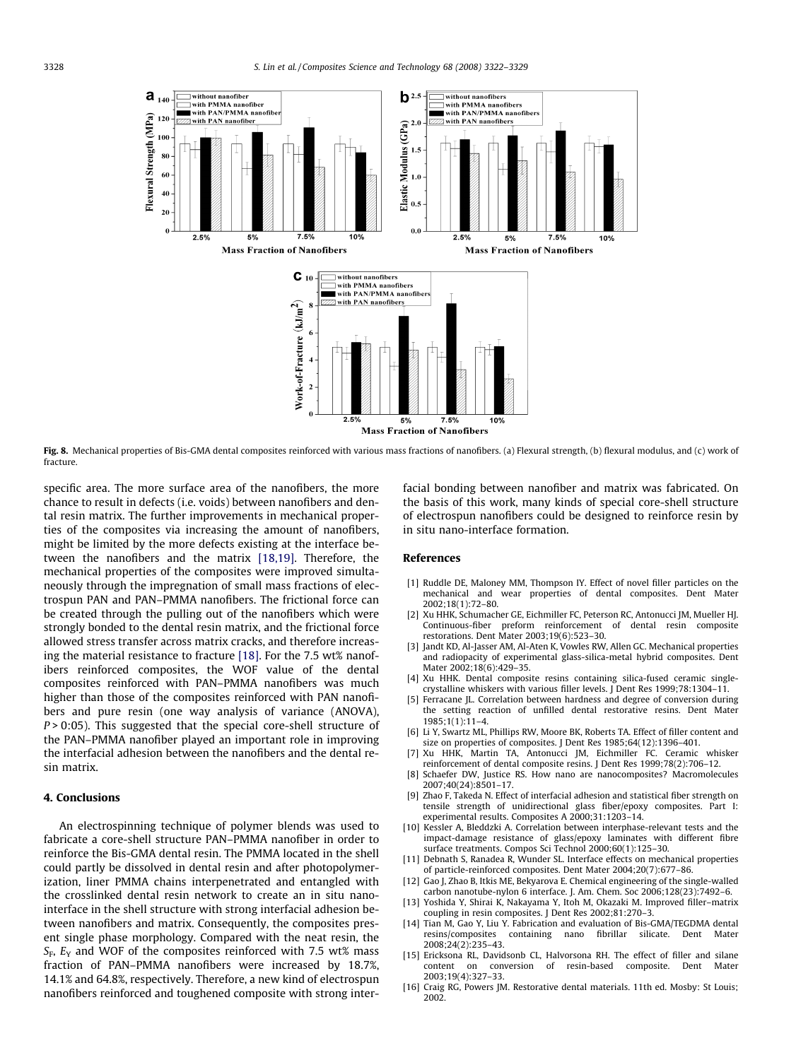<span id="page-6-0"></span>

Fig. 8. Mechanical properties of Bis-GMA dental composites reinforced with various mass fractions of nanofibers. (a) Flexural strength, (b) flexural modulus, and (c) work of fracture.

specific area. The more surface area of the nanofibers, the more chance to result in defects (i.e. voids) between nanofibers and dental resin matrix. The further improvements in mechanical properties of the composites via increasing the amount of nanofibers, might be limited by the more defects existing at the interface between the nanofibers and the matrix [\[18,19\]](#page-7-0). Therefore, the mechanical properties of the composites were improved simultaneously through the impregnation of small mass fractions of electrospun PAN and PAN–PMMA nanofibers. The frictional force can be created through the pulling out of the nanofibers which were strongly bonded to the dental resin matrix, and the frictional force allowed stress transfer across matrix cracks, and therefore increasing the material resistance to fracture [\[18\].](#page-7-0) For the 7.5 wt% nanofibers reinforced composites, the WOF value of the dental composites reinforced with PAN–PMMA nanofibers was much higher than those of the composites reinforced with PAN nanofibers and pure resin (one way analysis of variance (ANOVA),  $P > 0:05$ ). This suggested that the special core-shell structure of the PAN–PMMA nanofiber played an important role in improving the interfacial adhesion between the nanofibers and the dental resin matrix.

### 4. Conclusions

An electrospinning technique of polymer blends was used to fabricate a core-shell structure PAN–PMMA nanofiber in order to reinforce the Bis-GMA dental resin. The PMMA located in the shell could partly be dissolved in dental resin and after photopolymerization, liner PMMA chains interpenetrated and entangled with the crosslinked dental resin network to create an in situ nanointerface in the shell structure with strong interfacial adhesion between nanofibers and matrix. Consequently, the composites present single phase morphology. Compared with the neat resin, the  $S_F$ ,  $E_Y$  and WOF of the composites reinforced with 7.5 wt% mass fraction of PAN–PMMA nanofibers were increased by 18.7%, 14.1% and 64.8%, respectively. Therefore, a new kind of electrospun nanofibers reinforced and toughened composite with strong interfacial bonding between nanofiber and matrix was fabricated. On the basis of this work, many kinds of special core-shell structure of electrospun nanofibers could be designed to reinforce resin by in situ nano-interface formation.

#### References

- [1] Ruddle DE, Maloney MM, Thompson IY. Effect of novel filler particles on the mechanical and wear properties of dental composites. Dent Mater 2002;18(1):72–80.
- [2] Xu HHK, Schumacher GE, Eichmiller FC, Peterson RC, Antonucci JM, Mueller HJ. Continuous-fiber preform reinforcement of dental resin composite restorations. Dent Mater 2003;19(6):523–30.
- [3] Jandt KD, Al-Jasser AM, Al-Aten K, Vowles RW, Allen GC. Mechanical properties and radiopacity of experimental glass-silica-metal hybrid composites. Dent Mater 2002;18(6):429–35.
- [4] Xu HHK. Dental composite resins containing silica-fused ceramic singlecrystalline whiskers with various filler levels. J Dent Res 1999;78:1304–11.
- [5] Ferracane JL. Correlation between hardness and degree of conversion during the setting reaction of unfilled dental restorative resins. Dent Mater 1985;1(1):11–4.
- [6] Li Y, Swartz ML, Phillips RW, Moore BK, Roberts TA. Effect of filler content and size on properties of composites. J Dent Res 1985;64(12):1396–401.
- [7] Xu HHK, Martin TA, Antonucci JM, Eichmiller FC. Ceramic whisker reinforcement of dental composite resins. J Dent Res 1999;78(2):706–12.
- [8] Schaefer DW, Justice RS. How nano are nanocomposites? Macromolecules 2007;40(24):8501–17.
- [9] Zhao F, Takeda N. Effect of interfacial adhesion and statistical fiber strength on tensile strength of unidirectional glass fiber/epoxy composites. Part I: experimental results. Composites A 2000;31:1203–14.
- [10] Kessler A, Bleddzki A. Correlation between interphase-relevant tests and the impact-damage resistance of glass/epoxy laminates with different fibre surface treatments. Compos Sci Technol 2000;60(1):125–30.
- [11] Debnath S, Ranadea R, Wunder SL. Interface effects on mechanical properties of particle-reinforced composites. Dent Mater 2004;20(7):677–86.
- [12] Gao J, Zhao B, Itkis ME, Bekyarova E. Chemical engineering of the single-walled carbon nanotube-nylon 6 interface. J. Am. Chem. Soc 2006;128(23):7492–6.
- [13] Yoshida Y, Shirai K, Nakayama Y, Itoh M, Okazaki M. Improved filler–matrix coupling in resin composites. J Dent Res 2002;81:270–3.
- [14] Tian M, Gao Y, Liu Y. Fabrication and evaluation of Bis-GMA/TEGDMA dental resins/composites containing nano fibrillar silicate. Dent Mater 2008;24(2):235–43.
- [15] Ericksona RL, Davidsonb CL, Halvorsona RH. The effect of filler and silane content on conversion of resin-based composite. Dent Mater 2003;19(4):327–33.
- [16] Craig RG, Powers JM. Restorative dental materials. 11th ed. Mosby: St Louis; 2002.